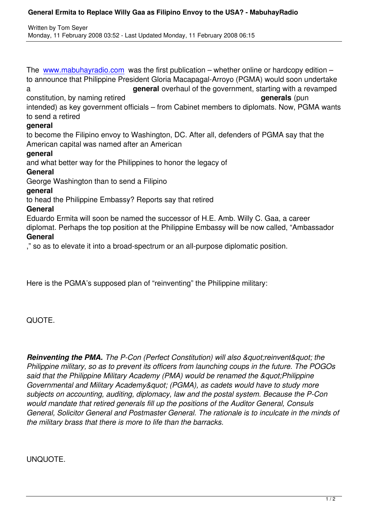The www.mabuhayradio.com was the first publication – whether online or hardcopy edition – to announce that Philippine President Gloria Macapagal-Arroyo (PGMA) would soon undertake a **general** overhaul of the government, starting with a revamped cons[titution, by naming retired](/) **generals** (pun intended) as key government officials – from Cabinet members to diplomats. Now, PGMA wants to send a retired **general** to become the Filipino envoy to Washington, DC. After all, defenders of PGMA say that the American capital was named after an American **general**  and what better way for the Philippines to honor the legacy of

# **General**

George Washington than to send a Filipino

## **general**

to head the Philippine Embassy? Reports say that retired

## **General**

Eduardo Ermita will soon be named the successor of H.E. Amb. Willy C. Gaa, a career diplomat. Perhaps the top position at the Philippine Embassy will be now called, "Ambassador **General**

," so as to elevate it into a broad-spectrum or an all-purpose diplomatic position.

Here is the PGMA's supposed plan of "reinventing" the Philippine military:

# QUOTE.

**Reinventing the PMA.** The P-Con (Perfect Constitution) will also &quot:reinvent&quot: the *Philippine military, so as to prevent its officers from launching coups in the future. The POGOs* said that the Philippine Military Academy (PMA) would be renamed the *&guot:Philippine Governmental and Military Academy&quot: (PGMA), as cadets would have to study more subjects on accounting, auditing, diplomacy, law and the postal system. Because the P-Con would mandate that retired generals fill up the positions of the Auditor General, Consuls General, Solicitor General and Postmaster General. The rationale is to inculcate in the minds of the military brass that there is more to life than the barracks.*

# UNQUOTE.